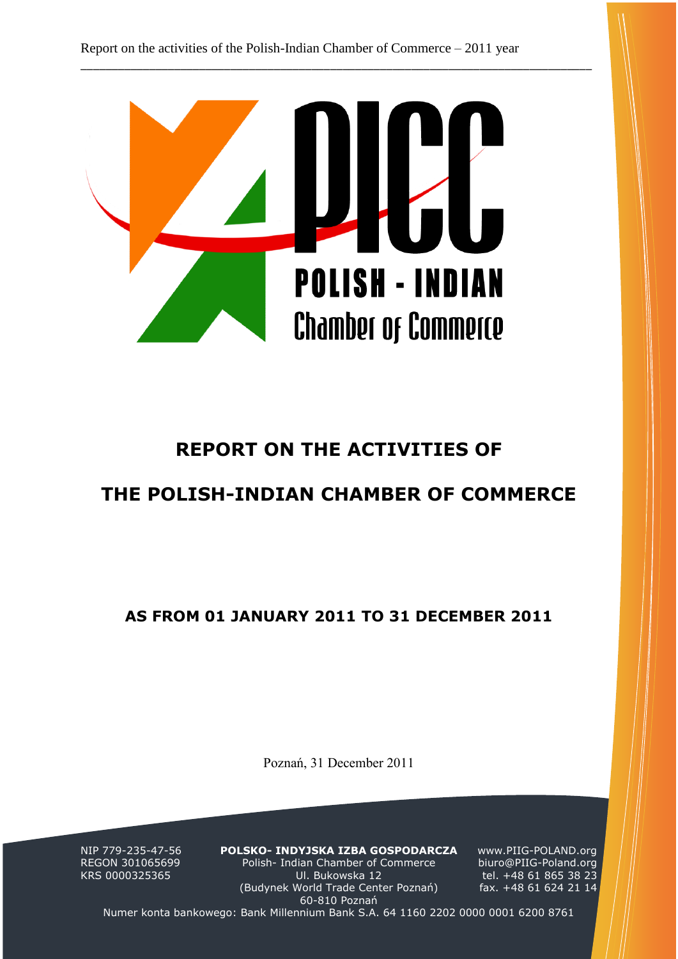

# **REPORT ON THE ACTIVITIES OF**

## **THE POLISH-INDIAN CHAMBER OF COMMERCE**

**AS FROM 01 JANUARY 2011 TO 31 DECEMBER 2011**

Poznań, 31 December 2011

NIP 779-235-47-56 **POLSKO- INDYJSKA IZBA GOSPODARCZA** www.PIIG-POLAND.org REGON 301065699 Polish- Indian Chamber of Commerce biuro@PIIG-Poland.org KRS 0000325365 Ul. Bukowska 12 tel. +48 61 865 38 23 (Budynek World Trade Center Poznań) fax. +48 61 624 21 14 60-810 Poznań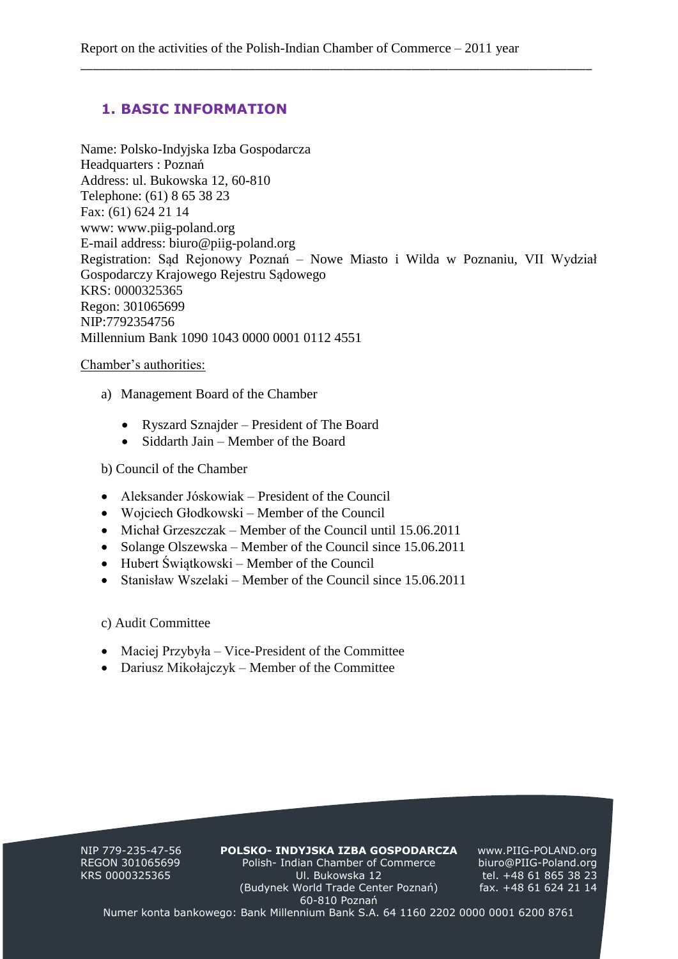### **1. BASIC INFORMATION**

Name: Polsko-Indyjska Izba Gospodarcza Headquarters : Poznań Address: ul. Bukowska 12, 60-810 Telephone: (61) 8 65 38 23 Fax: (61) 624 21 14 www: www.piig-poland.org E-mail address: biuro@piig-poland.org Registration: Sąd Rejonowy Poznań – Nowe Miasto i Wilda w Poznaniu, VII Wydział Gospodarczy Krajowego Rejestru Sądowego KRS: 0000325365 Regon: 301065699 NIP:7792354756 Millennium Bank 1090 1043 0000 0001 0112 4551

#### Chamber's authorities:

- a) Management Board of the Chamber
	- Ryszard Sznajder President of The Board
	- Siddarth Jain Member of the Board
- b) Council of the Chamber
- Aleksander Jóskowiak President of the Council
- Wojciech Głodkowski Member of the Council
- Michał Grzeszczak Member of the Council until 15.06.2011
- Solange Olszewska Member of the Council since 15.06.2011
- Hubert Świątkowski Member of the Council
- Stanisław Wszelaki Member of the Council since  $15.06.2011$

#### c) Audit Committee

- Maciej Przybyła Vice-President of the Committee
- Dariusz Mikołajczyk Member of the Committee

NIP 779-235-47-56 **POLSKO- INDYJSKA IZBA GOSPODARCZA** www.PIIG-POLAND.org

REGON 301065699 Polish- Indian Chamber of Commerce biuro@PIIG-Poland.org KRS 0000325365 Ul. Bukowska 12 tel. +48 61 865 38 23 (Budynek World Trade Center Poznań) fax. +48 61 624 21 14 60-810 Poznań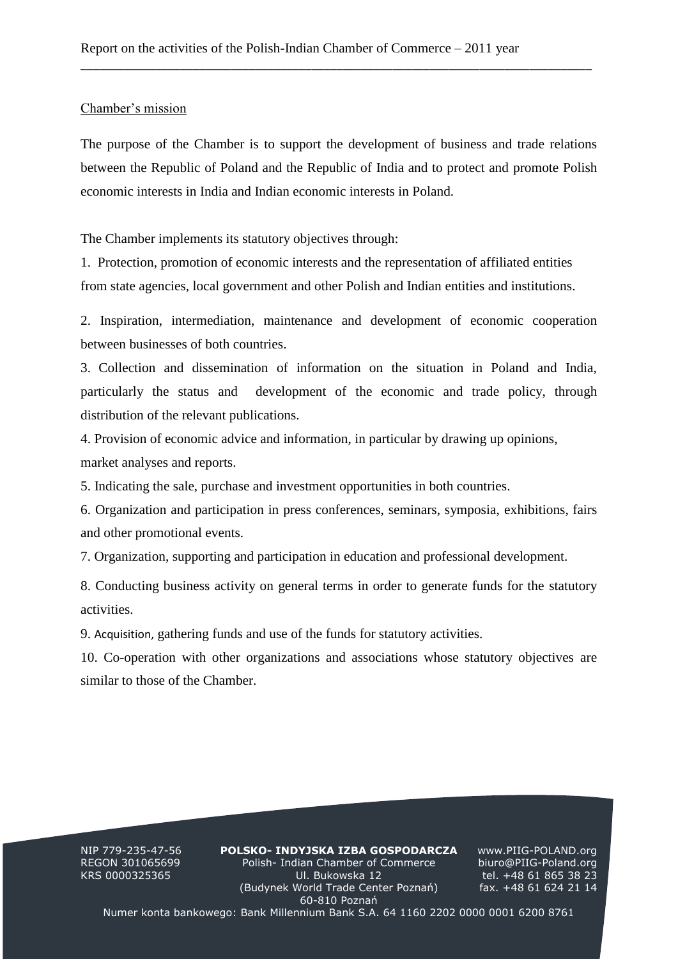#### Chamber's mission

The purpose of the Chamber is to support the development of business and trade relations between the Republic of Poland and the Republic of India and to protect and promote Polish economic interests in India and Indian economic interests in Poland.

\_\_\_\_\_\_\_\_\_\_\_\_\_\_\_\_\_\_\_\_\_\_\_\_\_\_\_\_\_\_\_\_\_\_\_\_\_\_\_\_\_\_\_\_\_\_\_\_\_\_\_\_\_\_\_\_\_\_\_\_\_\_\_\_\_\_\_\_\_\_\_\_\_\_\_\_\_\_\_\_\_\_

The Chamber implements its statutory objectives through:

1. Protection, promotion of economic interests and the representation of affiliated entities from state agencies, local government and other Polish and Indian entities and institutions.

2. Inspiration, intermediation, maintenance and development of economic cooperation between businesses of both countries.

3. Collection and dissemination of information on the situation in Poland and India, particularly the status and development of the economic and trade policy, through distribution of the relevant publications.

4. Provision of economic advice and information, in particular by drawing up opinions, market analyses and reports.

5. Indicating the sale, purchase and investment opportunities in both countries.

6. Organization and participation in press conferences, seminars, symposia, exhibitions, fairs and other promotional events.

7. Organization, supporting and participation in education and professional development.

8. Conducting business activity on general terms in order to generate funds for the statutory activities.

9. Acquisition, gathering funds and use of the funds for statutory activities.

10. Co-operation with other organizations and associations whose statutory objectives are similar to those of the Chamber.

NIP 779-235-47-56 **POLSKO- INDYJSKA IZBA GOSPODARCZA** www.PIIG-POLAND.org REGON 301065699 Polish- Indian Chamber of Commerce biuro@PIIG-Poland.org KRS 0000325365 Ul. Bukowska 12 tel. +48 61 865 38 23 (Budynek World Trade Center Poznań) fax. +48 61 624 21 14 60-810 Poznań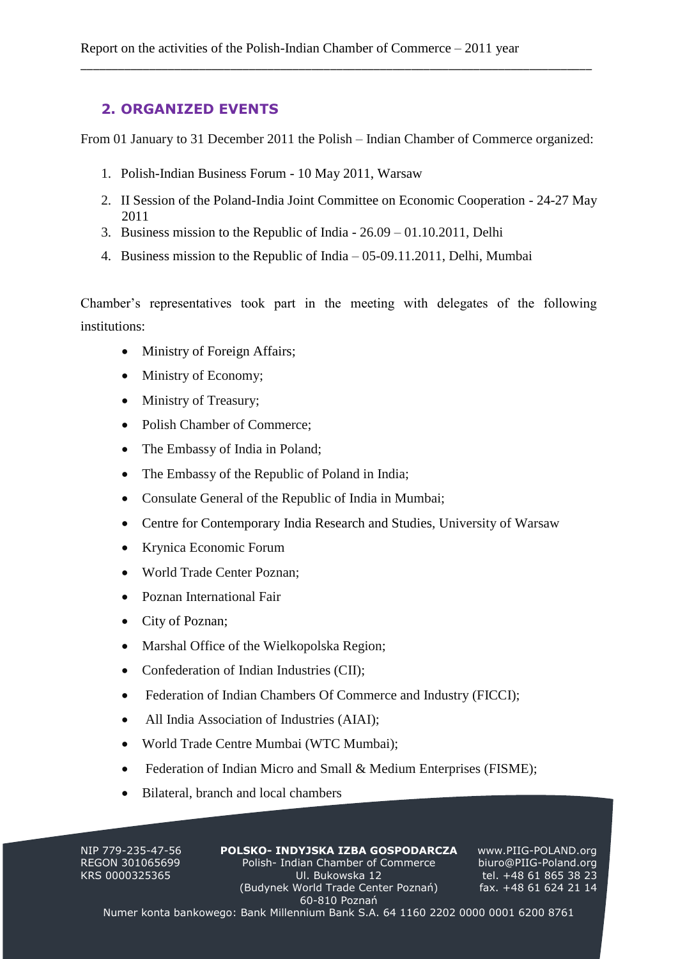### **2. ORGANIZED EVENTS**

From 01 January to 31 December 2011 the Polish – Indian Chamber of Commerce organized:

\_\_\_\_\_\_\_\_\_\_\_\_\_\_\_\_\_\_\_\_\_\_\_\_\_\_\_\_\_\_\_\_\_\_\_\_\_\_\_\_\_\_\_\_\_\_\_\_\_\_\_\_\_\_\_\_\_\_\_\_\_\_\_\_\_\_\_\_\_\_\_\_\_\_\_\_\_\_\_\_\_\_

- 1. Polish-Indian Business Forum 10 May 2011, Warsaw
- 2. II Session of the Poland-India Joint Committee on Economic Cooperation 24-27 May 2011
- 3. Business mission to the Republic of India 26.09 01.10.2011, Delhi
- 4. Business mission to the Republic of India 05-09.11.2011, Delhi, Mumbai

Chamber's representatives took part in the meeting with delegates of the following institutions:

- Ministry of Foreign Affairs;
- Ministry of Economy;
- Ministry of Treasury;
- Polish Chamber of Commerce:
- The Embassy of India in Poland;
- The Embassy of the Republic of Poland in India;
- Consulate General of the Republic of India in Mumbai;
- Centre for Contemporary India Research and Studies, University of Warsaw
- Krynica Economic Forum
- World Trade Center Poznan:
- Poznan International Fair
- City of Poznan;
- Marshal Office of the Wielkopolska Region;
- Confederation of Indian Industries (CII);
- Federation of Indian Chambers Of Commerce and Industry (FICCI);
- All India Association of Industries (AIAI);
- World Trade Centre Mumbai (WTC Mumbai);
- Federation of Indian Micro and Small & Medium Enterprises (FISME);
- Bilateral, branch and local chambers

NIP 779-235-47-56 **POLSKO- INDYJSKA IZBA GOSPODARCZA** www.PIIG-POLAND.org REGON 301065699 Polish- Indian Chamber of Commerce biuro@PIIG-Poland.org KRS 0000325365 Ul. Bukowska 12 tel. +48 61 865 38 23 (Budynek World Trade Center Poznań) fax. +48 61 624 21 14 60-810 Poznań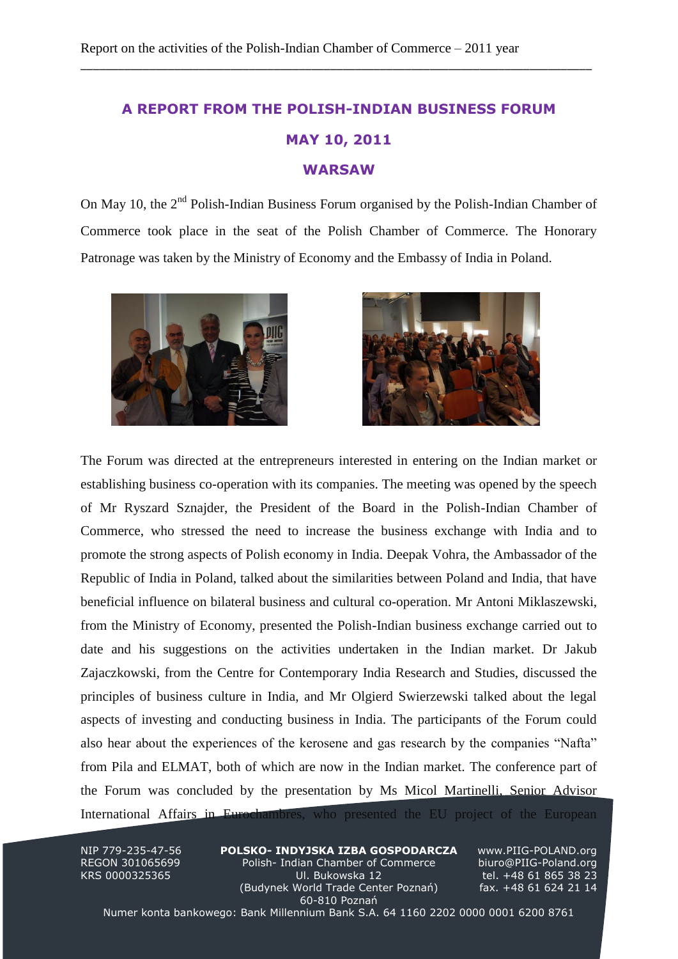# **A REPORT FROM THE POLISH-INDIAN BUSINESS FORUM MAY 10, 2011**

\_\_\_\_\_\_\_\_\_\_\_\_\_\_\_\_\_\_\_\_\_\_\_\_\_\_\_\_\_\_\_\_\_\_\_\_\_\_\_\_\_\_\_\_\_\_\_\_\_\_\_\_\_\_\_\_\_\_\_\_\_\_\_\_\_\_\_\_\_\_\_\_\_\_\_\_\_\_\_\_\_\_

#### **WARSAW**

On May 10, the 2<sup>nd</sup> Polish-Indian Business Forum organised by the Polish-Indian Chamber of Commerce took place in the seat of the Polish Chamber of Commerce. The Honorary Patronage was taken by the Ministry of Economy and the Embassy of India in Poland.





The Forum was directed at the entrepreneurs interested in entering on the Indian market or establishing business co-operation with its companies. The meeting was opened by the speech of Mr Ryszard Sznajder, the President of the Board in the Polish-Indian Chamber of Commerce, who stressed the need to increase the business exchange with India and to promote the strong aspects of Polish economy in India. Deepak Vohra, the Ambassador of the Republic of India in Poland, talked about the similarities between Poland and India, that have beneficial influence on bilateral business and cultural co-operation. Mr Antoni Miklaszewski, from the Ministry of Economy, presented the Polish-Indian business exchange carried out to date and his suggestions on the activities undertaken in the Indian market. Dr Jakub Zajaczkowski, from the Centre for Contemporary India Research and Studies, discussed the principles of business culture in India, and Mr Olgierd Swierzewski talked about the legal aspects of investing and conducting business in India. The participants of the Forum could also hear about the experiences of the kerosene and gas research by the companies "Nafta" from Pila and ELMAT, both of which are now in the Indian market. The conference part of the Forum was concluded by the presentation by Ms Micol Martinelli, Senior Advisor International Affairs in Eurochambres, who presented the EU project of the European

NIP 779-235-47-56 **POLSKO- INDYJSKA IZBA GOSPODARCZA** www.PIIG-POLAND.org REGON 301065699 Polish- Indian Chamber of Commerce biuro@PIIG-Poland.org KRS 0000325365 Ul. Bukowska 12 tel. +48 61 865 38 23 (Budynek World Trade Center Poznań) fax. +48 61 624 21 14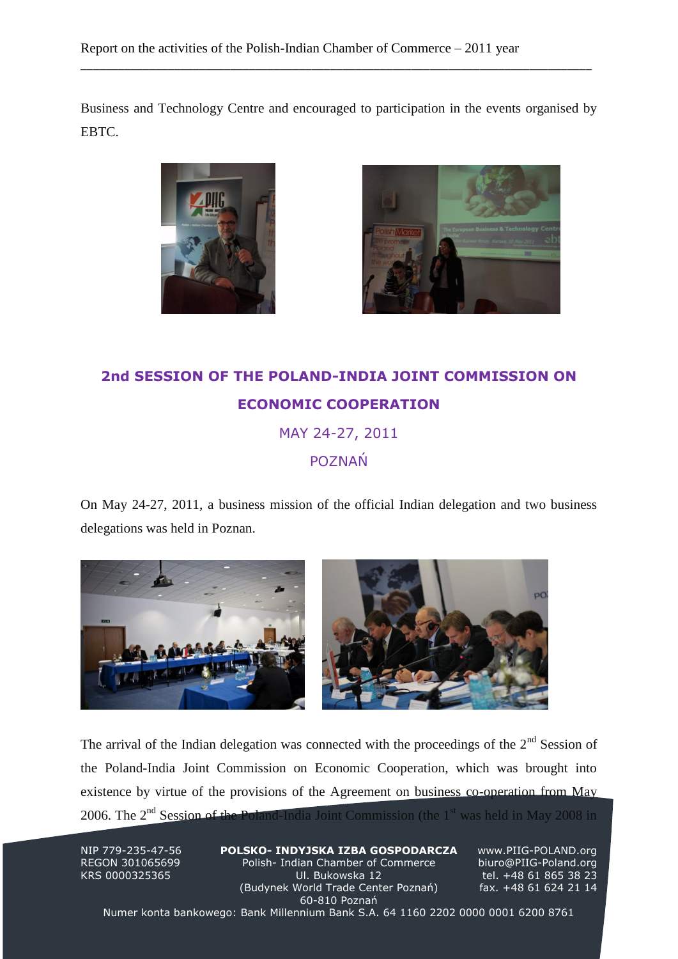Business and Technology Centre and encouraged to participation in the events organised by EBTC.

\_\_\_\_\_\_\_\_\_\_\_\_\_\_\_\_\_\_\_\_\_\_\_\_\_\_\_\_\_\_\_\_\_\_\_\_\_\_\_\_\_\_\_\_\_\_\_\_\_\_\_\_\_\_\_\_\_\_\_\_\_\_\_\_\_\_\_\_\_\_\_\_\_\_\_\_\_\_\_\_\_\_





### **2nd SESSION OF THE POLAND-INDIA JOINT COMMISSION ON ECONOMIC COOPERATION**

MAY 24-27, 2011

POZNAŃ

On May 24-27, 2011, a business mission of the official Indian delegation and two business delegations was held in Poznan.



The arrival of the Indian delegation was connected with the proceedings of the  $2<sup>nd</sup>$  Session of the Poland-India Joint Commission on Economic Cooperation, which was brought into existence by virtue of the provisions of the Agreement on business co-operation from May 2006. The  $2<sup>nd</sup>$  Session of the Poland-India Joint Commission (the  $1<sup>st</sup>$  was held in May 2008 in

NIP 779-235-47-56 **POLSKO- INDYJSKA IZBA GOSPODARCZA** www.PIIG-POLAND.org REGON 301065699 Polish- Indian Chamber of Commerce biuro@PIIG-Poland.org KRS 0000325365 Ul. Bukowska 12 tel. +48 61 865 38 23 (Budynek World Trade Center Poznań) fax. +48 61 624 21 14 60-810 Poznań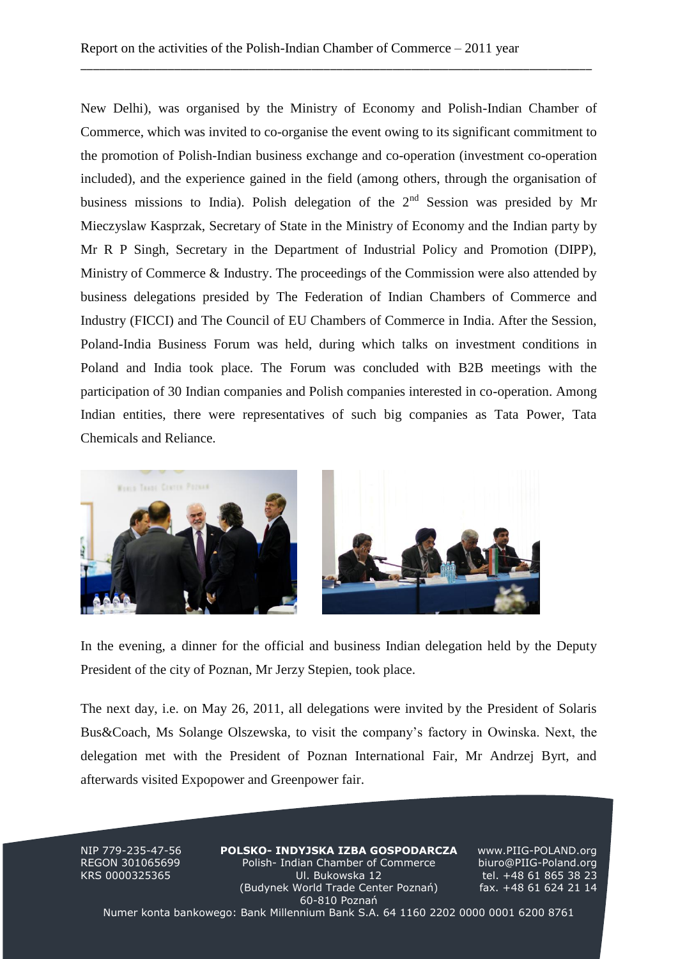New Delhi), was organised by the Ministry of Economy and Polish-Indian Chamber of Commerce, which was invited to co-organise the event owing to its significant commitment to the promotion of Polish-Indian business exchange and co-operation (investment co-operation included), and the experience gained in the field (among others, through the organisation of business missions to India). Polish delegation of the  $2<sup>nd</sup>$  Session was presided by Mr Mieczyslaw Kasprzak, Secretary of State in the Ministry of Economy and the Indian party by Mr R P Singh, Secretary in the Department of Industrial Policy and Promotion (DIPP), Ministry of Commerce & Industry. The proceedings of the Commission were also attended by business delegations presided by The Federation of Indian Chambers of Commerce and Industry (FICCI) and The Council of EU Chambers of Commerce in India. After the Session, Poland-India Business Forum was held, during which talks on investment conditions in Poland and India took place. The Forum was concluded with B2B meetings with the participation of 30 Indian companies and Polish companies interested in co-operation. Among Indian entities, there were representatives of such big companies as Tata Power, Tata Chemicals and Reliance.



In the evening, a dinner for the official and business Indian delegation held by the Deputy President of the city of Poznan, Mr Jerzy Stepien, took place.

The next day, i.e. on May 26, 2011, all delegations were invited by the President of Solaris Bus&Coach, Ms Solange Olszewska, to visit the company's factory in Owinska. Next, the delegation met with the President of Poznan International Fair, Mr Andrzej Byrt, and afterwards visited Expopower and Greenpower fair.

NIP 779-235-47-56 **POLSKO- INDYJSKA IZBA GOSPODARCZA** www.PIIG-POLAND.org REGON 301065699 Polish- Indian Chamber of Commerce biuro@PIIG-Poland.org KRS 0000325365 Ul. Bukowska 12 tel. +48 61 865 38 23 (Budynek World Trade Center Poznań) fax. +48 61 624 21 14 60-810 Poznań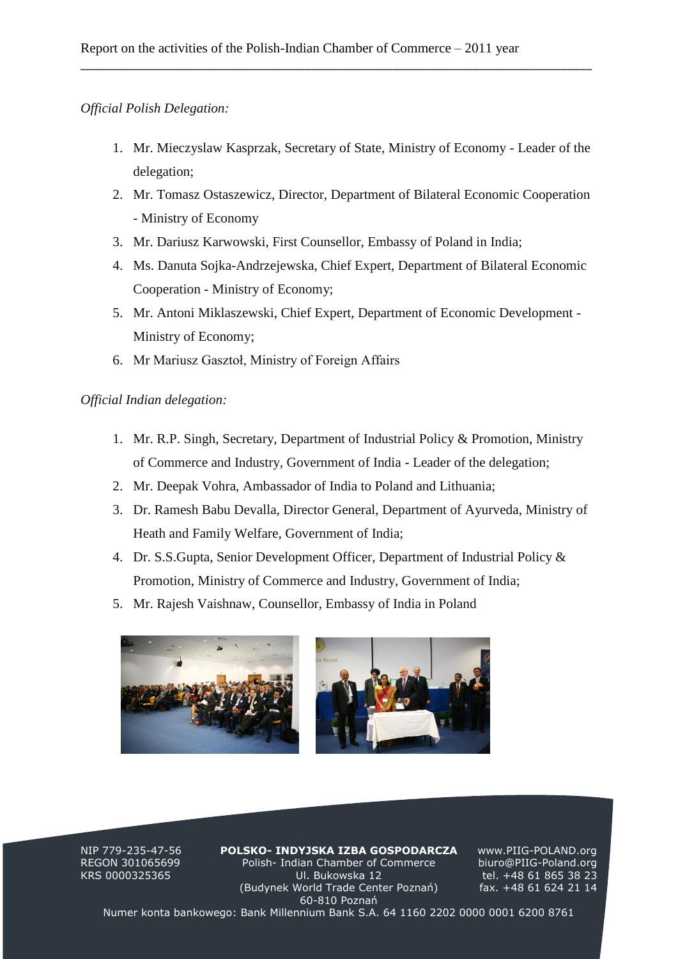#### *Official Polish Delegation:*

1. Mr. Mieczyslaw Kasprzak, Secretary of State, Ministry of Economy - Leader of the delegation;

\_\_\_\_\_\_\_\_\_\_\_\_\_\_\_\_\_\_\_\_\_\_\_\_\_\_\_\_\_\_\_\_\_\_\_\_\_\_\_\_\_\_\_\_\_\_\_\_\_\_\_\_\_\_\_\_\_\_\_\_\_\_\_\_\_\_\_\_\_\_\_\_\_\_\_\_\_\_\_\_\_\_

- 2. Mr. Tomasz Ostaszewicz, Director, Department of Bilateral Economic Cooperation - Ministry of Economy
- 3. Mr. Dariusz Karwowski, First Counsellor, Embassy of Poland in India;
- 4. Ms. Danuta Sojka-Andrzejewska, Chief Expert, Department of Bilateral Economic Cooperation - Ministry of Economy;
- 5. Mr. Antoni Miklaszewski, Chief Expert, Department of Economic Development Ministry of Economy;
- 6. Mr Mariusz Gasztoł, Ministry of Foreign Affairs

#### *Official Indian delegation:*

- 1. Mr. R.P. Singh, Secretary, Department of Industrial Policy & Promotion, Ministry of Commerce and Industry, Government of India - Leader of the delegation;
- 2. Mr. Deepak Vohra, Ambassador of India to Poland and Lithuania;
- 3. Dr. Ramesh Babu Devalla, Director General, Department of Ayurveda, Ministry of Heath and Family Welfare, Government of India;
- 4. Dr. S.S.Gupta, Senior Development Officer, Department of Industrial Policy & Promotion, Ministry of Commerce and Industry, Government of India;
- 5. Mr. Rajesh Vaishnaw, Counsellor, Embassy of India in Poland





NIP 779-235-47-56 **POLSKO- INDYJSKA IZBA GOSPODARCZA** www.PIIG-POLAND.org REGON 301065699 Polish- Indian Chamber of Commerce biuro@PIIG-Poland.org KRS 0000325365 Ul. Bukowska 12 tel. +48 61 865 38 23 (Budynek World Trade Center Poznań) fax. +48 61 624 21 14 60-810 Poznań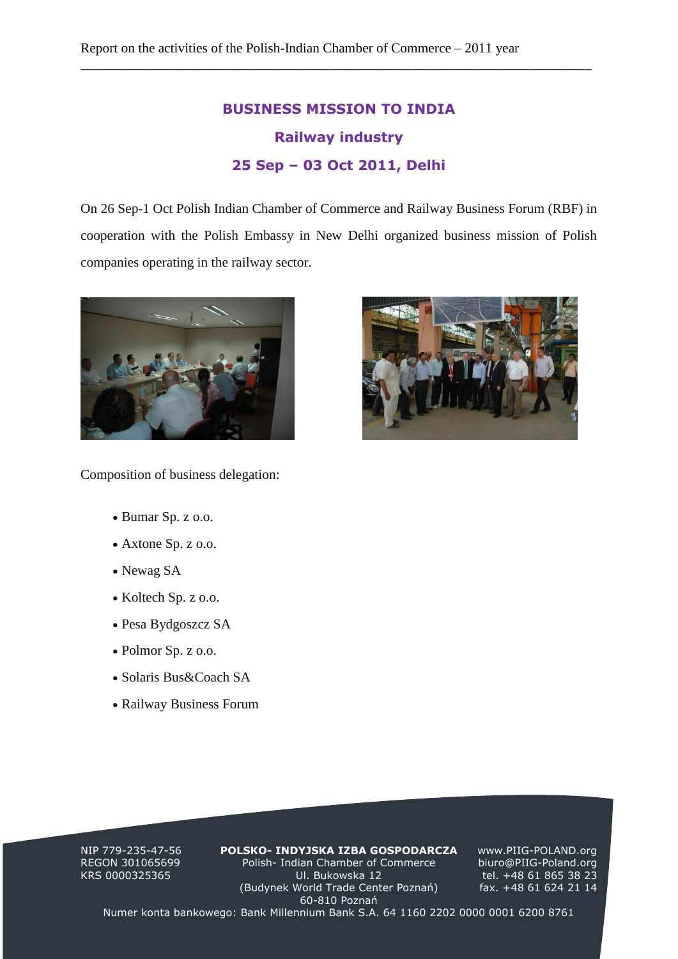## **BUSINESS MISSION TO INDIA Railway industry 25 Sep – 03 Oct 2011, Delhi**

\_\_\_\_\_\_\_\_\_\_\_\_\_\_\_\_\_\_\_\_\_\_\_\_\_\_\_\_\_\_\_\_\_\_\_\_\_\_\_\_\_\_\_\_\_\_\_\_\_\_\_\_\_\_\_\_\_\_\_\_\_\_\_\_\_\_\_\_\_\_\_\_\_\_\_\_\_\_\_\_\_\_

On 26 Sep-1 Oct Polish Indian Chamber of Commerce and Railway Business Forum (RBF) in cooperation with the Polish Embassy in New Delhi organized business mission of Polish companies operating in the railway sector.



Composition of business delegation:

- Bumar Sp. z o.o.
- Axtone Sp. z o.o.
- Newag SA
- Koltech Sp. z o.o.
- Pesa Bydgoszcz SA
- Polmor Sp. z o.o.
- Solaris Bus&Coach SA
- Railway Business Forum



#### NIP 779-235-47-56 **POLSKO- INDYJSKA IZBA GOSPODARCZA** www.PIIG-POLAND.org

REGON 301065699 Polish- Indian Chamber of Commerce biuro@PIIG-Poland.org KRS 0000325365 Ul. Bukowska 12 tel. +48 61 865 38 23 (Budynek World Trade Center Poznań) fax. +48 61 624 21 14 60-810 Poznań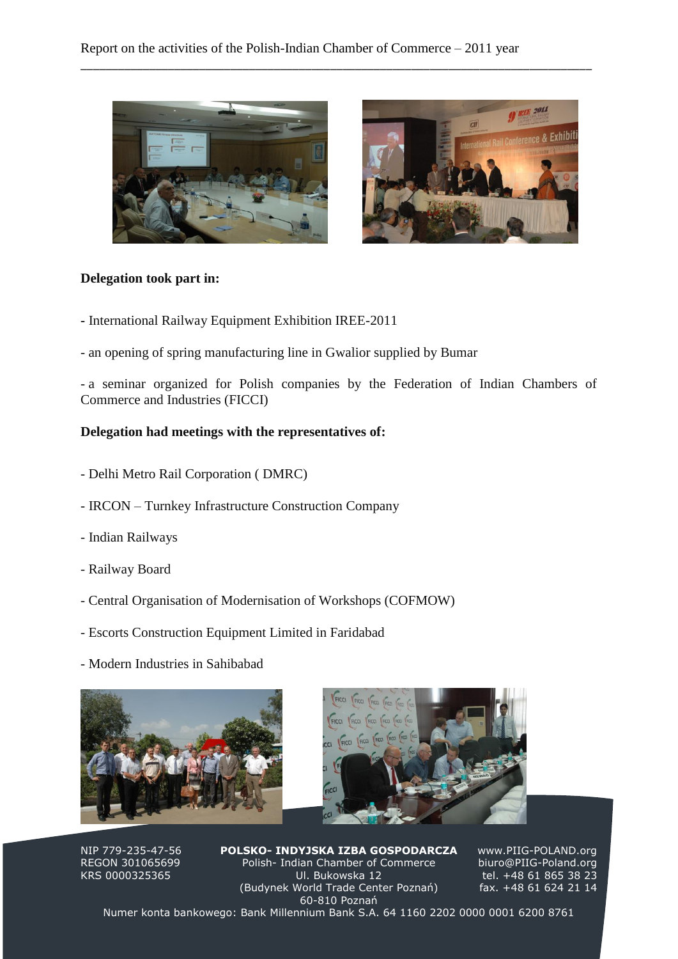



#### **Delegation took part in:**

- **-** International Railway Equipment Exhibition IREE-2011
- an opening of spring manufacturing line in Gwalior supplied by Bumar

- a seminar organized for Polish companies by the Federation of Indian Chambers of Commerce and Industries (FICCI)

#### **Delegation had meetings with the representatives of:**

- Delhi Metro Rail Corporation ( DMRC)
- IRCON Turnkey Infrastructure Construction Company
- Indian Railways
- Railway Board
- Central Organisation of Modernisation of Workshops (COFMOW)
- Escorts Construction Equipment Limited in Faridabad
- Modern Industries in Sahibabad



NIP 779-235-47-56 **POLSKO- INDYJSKA IZBA GOSPODARCZA** www.PIIG-POLAND.org

REGON 301065699 Polish- Indian Chamber of Commerce biuro@PIIG-Poland.org KRS 0000325365 Ul. Bukowska 12 tel. +48 61 865 38 23 (Budynek World Trade Center Poznań) fax. +48 61 624 21 14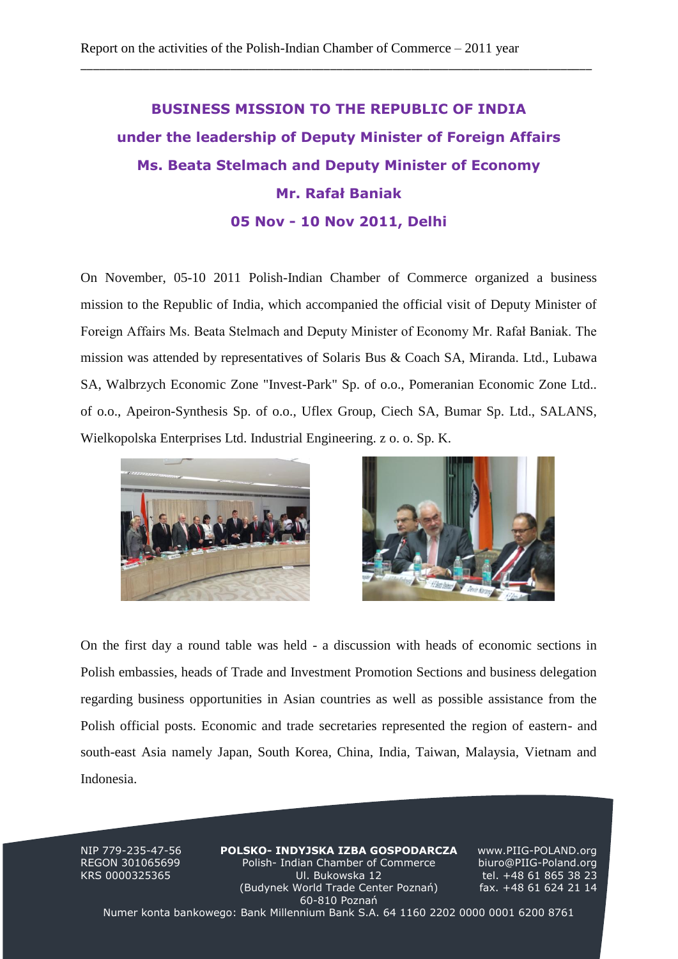# **BUSINESS MISSION TO THE REPUBLIC OF INDIA under the leadership of Deputy Minister of Foreign Affairs Ms. Beata Stelmach and Deputy Minister of Economy Mr. Rafał Baniak 05 Nov - 10 Nov 2011, Delhi**

\_\_\_\_\_\_\_\_\_\_\_\_\_\_\_\_\_\_\_\_\_\_\_\_\_\_\_\_\_\_\_\_\_\_\_\_\_\_\_\_\_\_\_\_\_\_\_\_\_\_\_\_\_\_\_\_\_\_\_\_\_\_\_\_\_\_\_\_\_\_\_\_\_\_\_\_\_\_\_\_\_\_

On November, 05-10 2011 Polish-Indian Chamber of Commerce organized a business mission to the Republic of India, which accompanied the official visit of Deputy Minister of Foreign Affairs Ms. Beata Stelmach and Deputy Minister of Economy Mr. Rafał Baniak. The mission was attended by representatives of Solaris Bus & Coach SA, Miranda. Ltd., Lubawa SA, Walbrzych Economic Zone "Invest-Park" Sp. of o.o., Pomeranian Economic Zone Ltd.. of o.o., Apeiron-Synthesis Sp. of o.o., Uflex Group, Ciech SA, Bumar Sp. Ltd., SALANS, Wielkopolska Enterprises Ltd. Industrial Engineering. z o. o. Sp. K.





On the first day a round table was held - a discussion with heads of economic sections in Polish embassies, heads of Trade and Investment Promotion Sections and business delegation regarding business opportunities in Asian countries as well as possible assistance from the Polish official posts. Economic and trade secretaries represented the region of eastern- and south-east Asia namely Japan, South Korea, China, India, Taiwan, Malaysia, Vietnam and Indonesia.

NIP 779-235-47-56 **POLSKO- INDYJSKA IZBA GOSPODARCZA** www.PIIG-POLAND.org REGON 301065699 Polish- Indian Chamber of Commerce biuro@PIIG-Poland.org KRS 0000325365 Ul. Bukowska 12 tel. +48 61 865 38 23 (Budynek World Trade Center Poznań) fax. +48 61 624 21 14 60-810 Poznań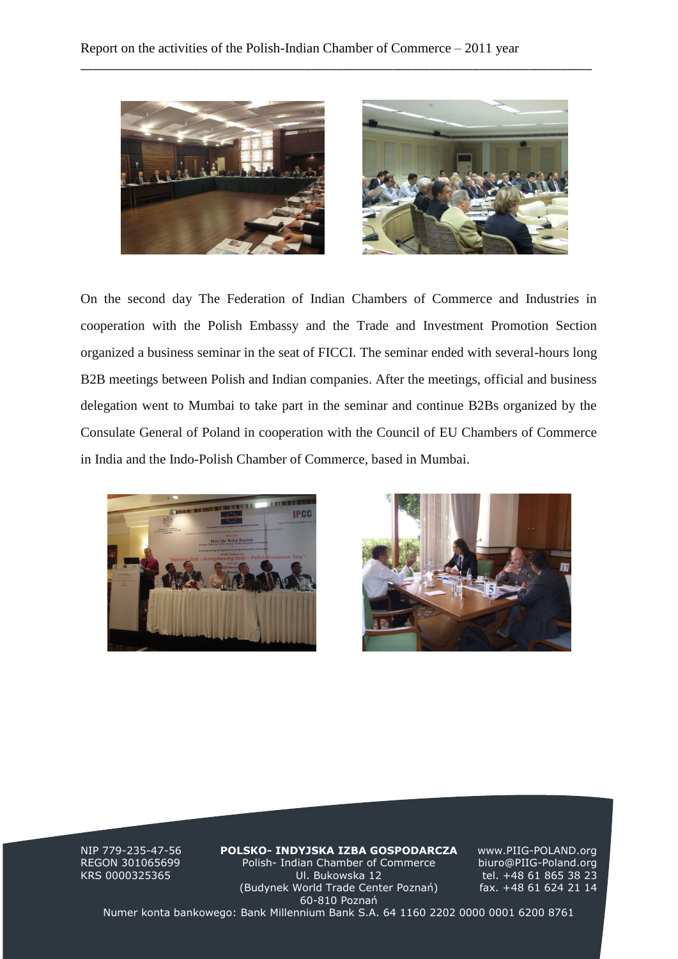

On the second day The Federation of Indian Chambers of Commerce and Industries in cooperation with the Polish Embassy and the Trade and Investment Promotion Section organized a business seminar in the seat of FICCI. The seminar ended with several-hours long B2B meetings between Polish and Indian companies. After the meetings, official and business delegation went to Mumbai to take part in the seminar and continue B2Bs organized by the Consulate General of Poland in cooperation with the Council of EU Chambers of Commerce in India and the Indo-Polish Chamber of Commerce, based in Mumbai.





NIP 779-235-47-56 **POLSKO- INDYJSKA IZBA GOSPODARCZA** www.PIIG-POLAND.org REGON 301065699 Polish- Indian Chamber of Commerce biuro@PIIG-Poland.org KRS 0000325365 Ul. Bukowska 12 tel. +48 61 865 38 23 (Budynek World Trade Center Poznań) fax. +48 61 624 21 14 60-810 Poznań